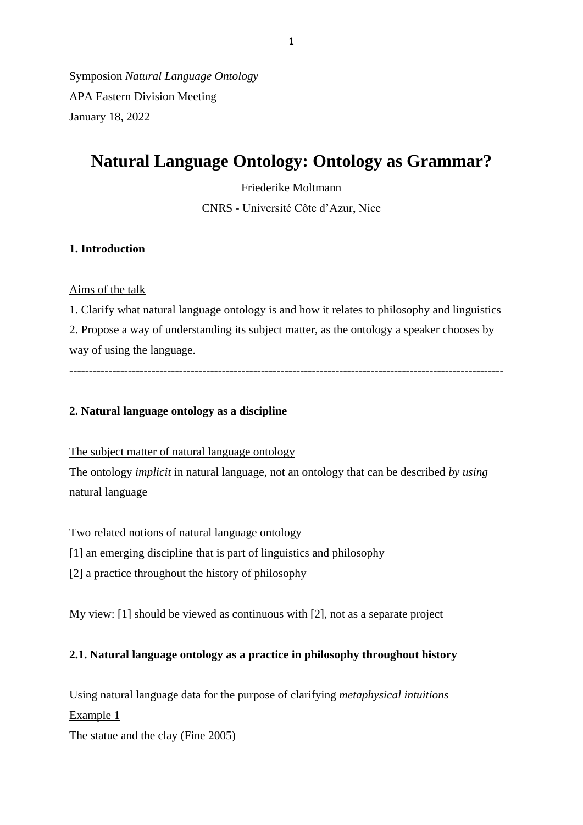Symposion *Natural Language Ontology* APA Eastern Division Meeting January 18, 2022

# **Natural Language Ontology: Ontology as Grammar?**

Friederike Moltmann CNRS - Université Côte d'Azur, Nice

## **1. Introduction**

# Aims of the talk

1. Clarify what natural language ontology is and how it relates to philosophy and linguistics 2. Propose a way of understanding its subject matter, as the ontology a speaker chooses by way of using the language.

---------------------------------------------------------------------------------------------------------------

## **2. Natural language ontology as a discipline**

The subject matter of natural language ontology

The ontology *implicit* in natural language, not an ontology that can be described *by using* natural language

Two related notions of natural language ontology

[1] an emerging discipline that is part of linguistics and philosophy

[2] a practice throughout the history of philosophy

My view: [1] should be viewed as continuous with [2], not as a separate project

# **2.1. Natural language ontology as a practice in philosophy throughout history**

Using natural language data for the purpose of clarifying *metaphysical intuitions* Example 1

The statue and the clay (Fine 2005)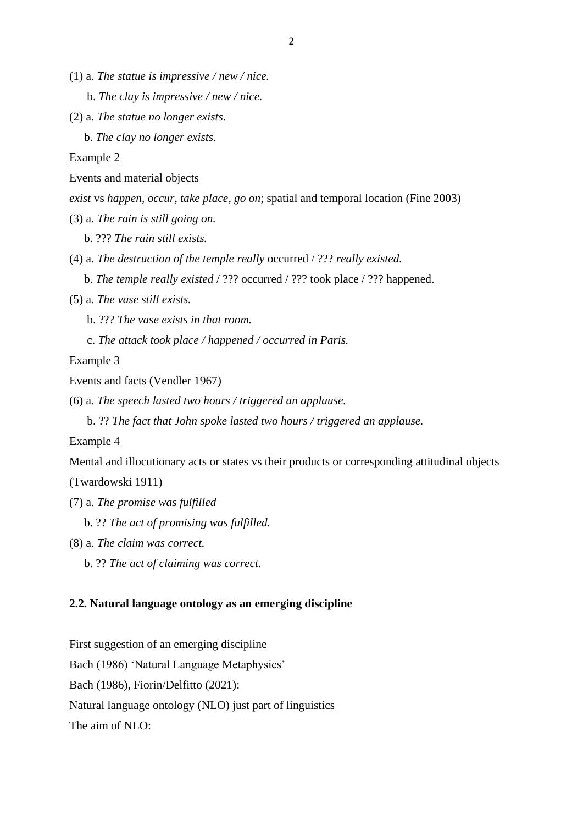- (1) a. *The statue is impressive / new / nice.*
	- b. *The clay is impressive / new / nice.*
- (2) a. *The statue no longer exists.*

b. *The clay no longer exists.*

#### Example 2

Events and material objects

*exist* vs *happen, occur, take place, go on*; spatial and temporal location (Fine 2003)

(3) a. *The rain is still going on.*

b. ??? *The rain still exists.*

- (4) a. *The destruction of the temple really* occurred / ??? *really existed.*
	- b. *The temple really existed* / ??? occurred / ??? took place / ??? happened.
- (5) a. *The vase still exists.*
	- b. ??? *The vase exists in that room.*
	- c. *The attack took place / happened / occurred in Paris.*

Example 3

Events and facts (Vendler 1967)

(6) a. *The speech lasted two hours / triggered an applause.*

b. ?? *The fact that John spoke lasted two hours / triggered an applause.*

#### Example 4

Mental and illocutionary acts or states vs their products or corresponding attitudinal objects (Twardowski 1911)

- (7) a. *The promise was fulfilled*
	- b. ?? *The act of promising was fulfilled.*
- (8) a. *The claim was correct.*
	- b. ?? *The act of claiming was correct.*

#### **2.2. Natural language ontology as an emerging discipline**

First suggestion of an emerging discipline

Bach (1986) 'Natural Language Metaphysics'

Bach (1986), Fiorin/Delfitto (2021):

Natural language ontology (NLO) just part of linguistics

The aim of NLO: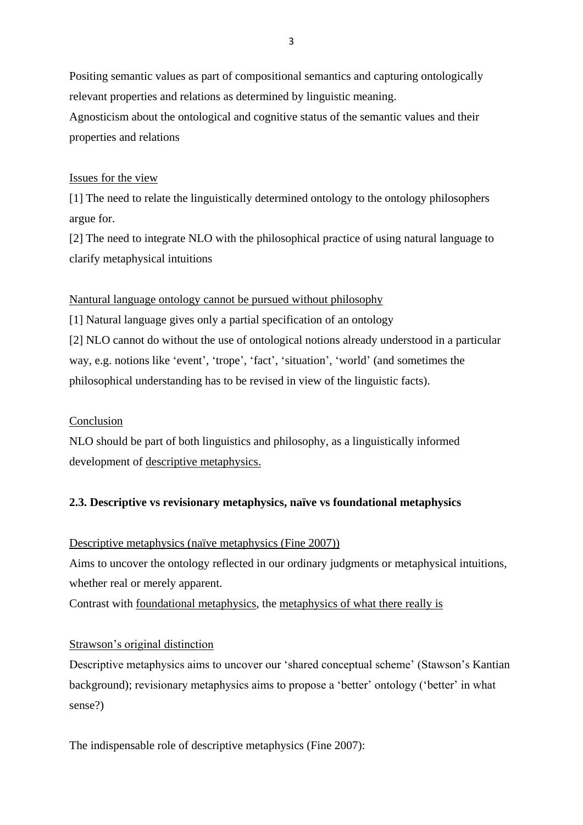Positing semantic values as part of compositional semantics and capturing ontologically relevant properties and relations as determined by linguistic meaning.

Agnosticism about the ontological and cognitive status of the semantic values and their properties and relations

## Issues for the view

[1] The need to relate the linguistically determined ontology to the ontology philosophers argue for.

[2] The need to integrate NLO with the philosophical practice of using natural language to clarify metaphysical intuitions

## Nantural language ontology cannot be pursued without philosophy

[1] Natural language gives only a partial specification of an ontology [2] NLO cannot do without the use of ontological notions already understood in a particular way, e.g. notions like 'event', 'trope', 'fact', 'situation', 'world' (and sometimes the philosophical understanding has to be revised in view of the linguistic facts).

## Conclusion

NLO should be part of both linguistics and philosophy, as a linguistically informed development of descriptive metaphysics.

# **2.3. Descriptive vs revisionary metaphysics, naïve vs foundational metaphysics**

## Descriptive metaphysics (naïve metaphysics (Fine 2007))

Aims to uncover the ontology reflected in our ordinary judgments or metaphysical intuitions, whether real or merely apparent.

Contrast with foundational metaphysics, the metaphysics of what there really is

## Strawson's original distinction

Descriptive metaphysics aims to uncover our 'shared conceptual scheme' (Stawson's Kantian background); revisionary metaphysics aims to propose a 'better' ontology ('better' in what sense?)

The indispensable role of descriptive metaphysics (Fine 2007):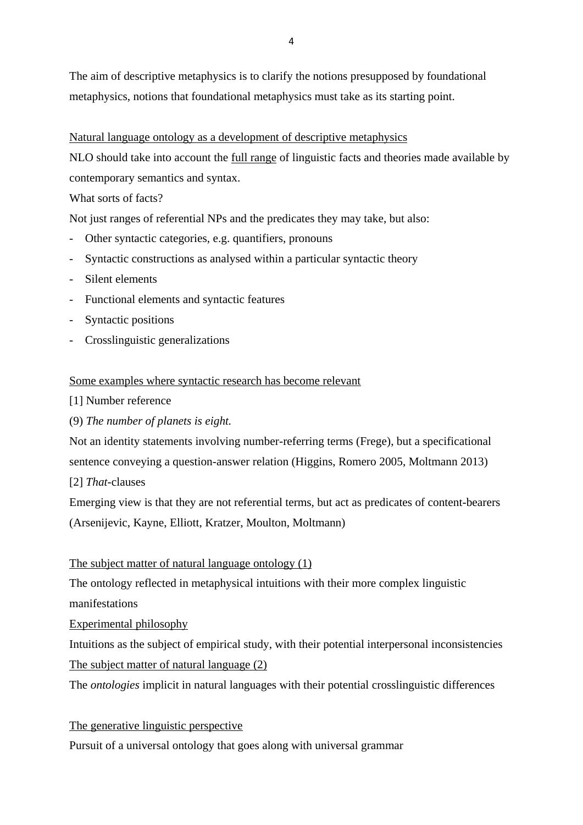The aim of descriptive metaphysics is to clarify the notions presupposed by foundational metaphysics, notions that foundational metaphysics must take as its starting point.

Natural language ontology as a development of descriptive metaphysics

NLO should take into account the full range of linguistic facts and theories made available by contemporary semantics and syntax.

What sorts of facts?

Not just ranges of referential NPs and the predicates they may take, but also:

- Other syntactic categories, e.g. quantifiers, pronouns
- Syntactic constructions as analysed within a particular syntactic theory
- Silent elements
- Functional elements and syntactic features
- Syntactic positions
- Crosslinguistic generalizations

#### Some examples where syntactic research has become relevant

- [1] Number reference
- (9) *The number of planets is eight.*

Not an identity statements involving number-referring terms (Frege), but a specificational sentence conveying a question-answer relation (Higgins, Romero 2005, Moltmann 2013) [2] *That*-clauses

Emerging view is that they are not referential terms, but act as predicates of content-bearers (Arsenijevic, Kayne, Elliott, Kratzer, Moulton, Moltmann)

#### The subject matter of natural language ontology (1)

The ontology reflected in metaphysical intuitions with their more complex linguistic manifestations

Experimental philosophy

Intuitions as the subject of empirical study, with their potential interpersonal inconsistencies The subject matter of natural language (2)

The *ontologies* implicit in natural languages with their potential crosslinguistic differences

#### The generative linguistic perspective

Pursuit of a universal ontology that goes along with universal grammar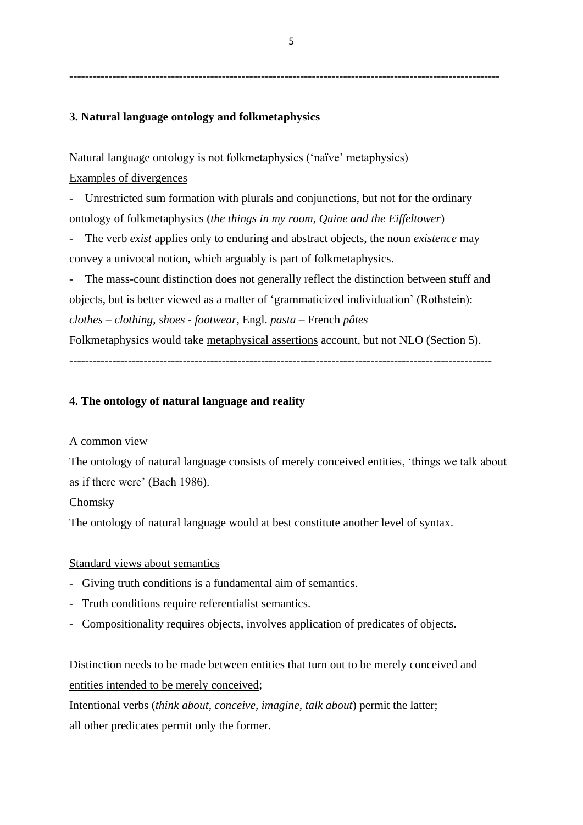--------------------------------------------------------------------------------------------------------------

### **3. Natural language ontology and folkmetaphysics**

Natural language ontology is not folkmetaphysics ('naïve' metaphysics)

# Examples of divergences

- Unrestricted sum formation with plurals and conjunctions, but not for the ordinary ontology of folkmetaphysics (*the things in my room*, *Quine and the Eiffeltower*)

- The verb *exist* applies only to enduring and abstract objects, the noun *existence* may convey a univocal notion, which arguably is part of folkmetaphysics.

The mass-count distinction does not generally reflect the distinction between stuff and objects, but is better viewed as a matter of 'grammaticized individuation' (Rothstein): *clothes – clothing*, *shoes - footwear*, Engl. *pasta* – French *pâtes*  Folkmetaphysics would take metaphysical assertions account, but not NLO (Section 5).

------------------------------------------------------------------------------------------------------------

## **4. The ontology of natural language and reality**

#### A common view

The ontology of natural language consists of merely conceived entities, 'things we talk about as if there were' (Bach 1986).

#### Chomsky

The ontology of natural language would at best constitute another level of syntax.

#### Standard views about semantics

- Giving truth conditions is a fundamental aim of semantics.
- Truth conditions require referentialist semantics.
- Compositionality requires objects, involves application of predicates of objects.

Distinction needs to be made between entities that turn out to be merely conceived and entities intended to be merely conceived;

Intentional verbs (*think about, conceive, imagine, talk about*) permit the latter; all other predicates permit only the former.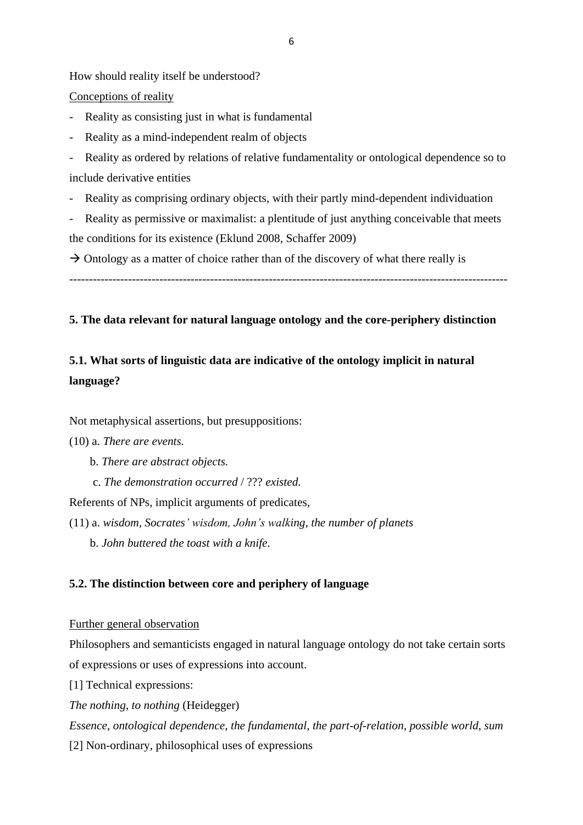How should reality itself be understood?

Conceptions of reality

Reality as consisting just in what is fundamental

Reality as a mind-independent realm of objects

Reality as ordered by relations of relative fundamentality or ontological dependence so to include derivative entities

- Reality as comprising ordinary objects, with their partly mind-dependent individuation

Reality as permissive or maximalist: a plentitude of just anything conceivable that meets the conditions for its existence (Eklund 2008, Schaffer 2009)

 $\rightarrow$  Ontology as a matter of choice rather than of the discovery of what there really is

----------------------------------------------------------------------------------------------------------------

## **5. The data relevant for natural language ontology and the core-periphery distinction**

# **5.1. What sorts of linguistic data are indicative of the ontology implicit in natural language?**

Not metaphysical assertions, but presuppositions:

(10) a. *There are events.*

- b. *There are abstract objects.*
- c. *The demonstration occurred* / ??? *existed.*

Referents of NPs, implicit arguments of predicates,

(11) a. *wisdom, Socrates' wisdom, John's walking, the number of planets* b. *John buttered the toast with a knife.*

### **5.2. The distinction between core and periphery of language**

#### Further general observation

Philosophers and semanticists engaged in natural language ontology do not take certain sorts of expressions or uses of expressions into account.

[1] Technical expressions:

*The nothing*, *to nothing* (Heidegger)

*Essence, ontological dependence, the fundamental, the part-of-relation, possible world, sum*

[2] Non-ordinary, philosophical uses of expressions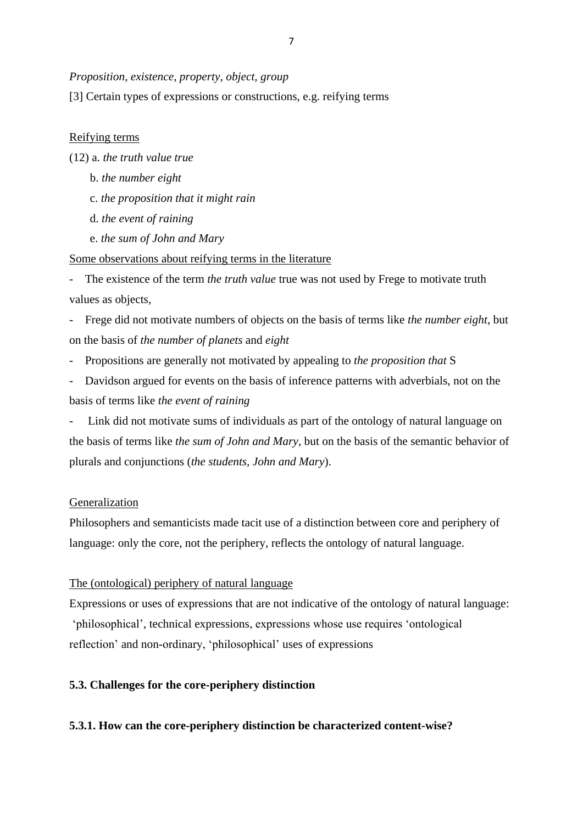#### *Proposition, existence, property, object, group*

[3] Certain types of expressions or constructions, e.g. reifying terms

#### Reifying terms

(12) a. *the truth value true*

- b. *the number eight*
- c. *the proposition that it might rain*
- d. *the event of raining*
- e. *the sum of John and Mary*

Some observations about reifying terms in the literature

The existence of the term *the truth value* true was not used by Frege to motivate truth values as objects,

- Frege did not motivate numbers of objects on the basis of terms like *the number eight*, but on the basis of *the number of planets* and *eight*

- Propositions are generally not motivated by appealing to *the proposition that* S
- Davidson argued for events on the basis of inference patterns with adverbials, not on the basis of terms like *the event of raining*

Link did not motivate sums of individuals as part of the ontology of natural language on the basis of terms like *the sum of John and Mary*, but on the basis of the semantic behavior of plurals and conjunctions (*the students, John and Mary*).

#### Generalization

Philosophers and semanticists made tacit use of a distinction between core and periphery of language: only the core, not the periphery, reflects the ontology of natural language.

The (ontological) periphery of natural language

Expressions or uses of expressions that are not indicative of the ontology of natural language: 'philosophical', technical expressions, expressions whose use requires 'ontological reflection' and non-ordinary, 'philosophical' uses of expressions

#### **5.3. Challenges for the core-periphery distinction**

#### **5.3.1. How can the core-periphery distinction be characterized content-wise?**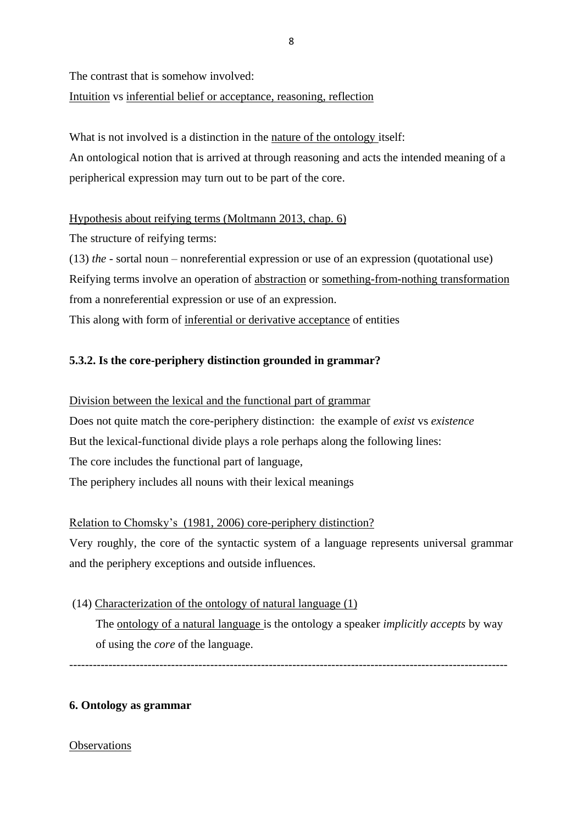The contrast that is somehow involved:

Intuition vs inferential belief or acceptance, reasoning, reflection

What is not involved is a distinction in the nature of the ontology itself:

An ontological notion that is arrived at through reasoning and acts the intended meaning of a peripherical expression may turn out to be part of the core.

Hypothesis about reifying terms (Moltmann 2013, chap. 6)

The structure of reifying terms:

(13) *the* - sortal noun – nonreferential expression or use of an expression (quotational use) Reifying terms involve an operation of abstraction or something-from-nothing transformation from a nonreferential expression or use of an expression. This along with form of inferential or derivative acceptance of entities

# **5.3.2. Is the core-periphery distinction grounded in grammar?**

# Division between the lexical and the functional part of grammar

Does not quite match the core-periphery distinction: the example of *exist* vs *existence* But the lexical-functional divide plays a role perhaps along the following lines: The core includes the functional part of language, The periphery includes all nouns with their lexical meanings

# Relation to Chomsky's (1981, 2006) core-periphery distinction?

Very roughly, the core of the syntactic system of a language represents universal grammar and the periphery exceptions and outside influences.

# (14) Characterization of the ontology of natural language (1)

 The ontology of a natural language is the ontology a speaker *implicitly accepts* by way of using the *core* of the language.

----------------------------------------------------------------------------------------------------------------

## **6. Ontology as grammar**

## **Observations**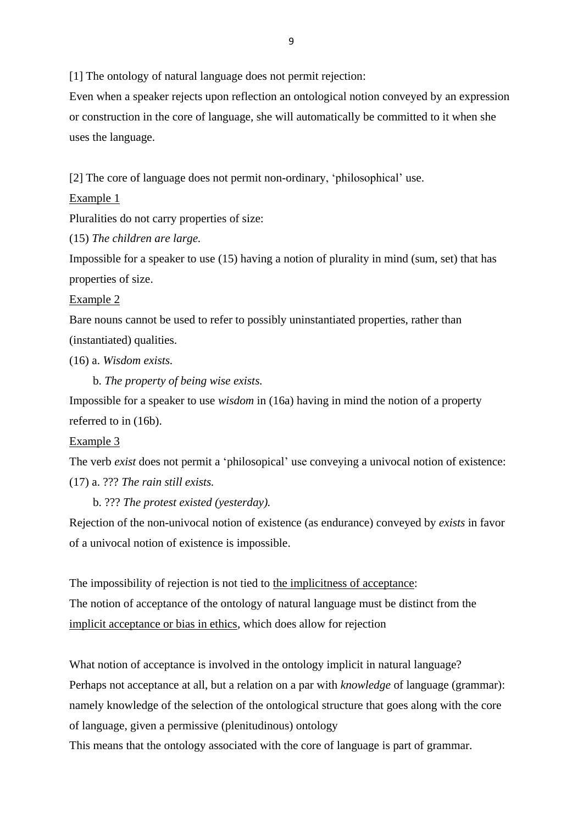[1] The ontology of natural language does not permit rejection:

Even when a speaker rejects upon reflection an ontological notion conveyed by an expression or construction in the core of language, she will automatically be committed to it when she uses the language.

[2] The core of language does not permit non-ordinary, 'philosophical' use.

#### Example 1

Pluralities do not carry properties of size:

(15) *The children are large.*

Impossible for a speaker to use (15) having a notion of plurality in mind (sum, set) that has properties of size.

#### Example 2

Bare nouns cannot be used to refer to possibly uninstantiated properties, rather than (instantiated) qualities.

(16) a. *Wisdom exists.*

b. *The property of being wise exists.*

Impossible for a speaker to use *wisdom* in (16a) having in mind the notion of a property referred to in (16b).

#### Example 3

The verb *exist* does not permit a 'philosopical' use conveying a univocal notion of existence: (17) a. ??? *The rain still exists.*

b. ??? *The protest existed (yesterday).*

Rejection of the non-univocal notion of existence (as endurance) conveyed by *exists* in favor of a univocal notion of existence is impossible.

The impossibility of rejection is not tied to the implicitness of acceptance: The notion of acceptance of the ontology of natural language must be distinct from the implicit acceptance or bias in ethics, which does allow for rejection

What notion of acceptance is involved in the ontology implicit in natural language? Perhaps not acceptance at all, but a relation on a par with *knowledge* of language (grammar): namely knowledge of the selection of the ontological structure that goes along with the core of language, given a permissive (plenitudinous) ontology

This means that the ontology associated with the core of language is part of grammar.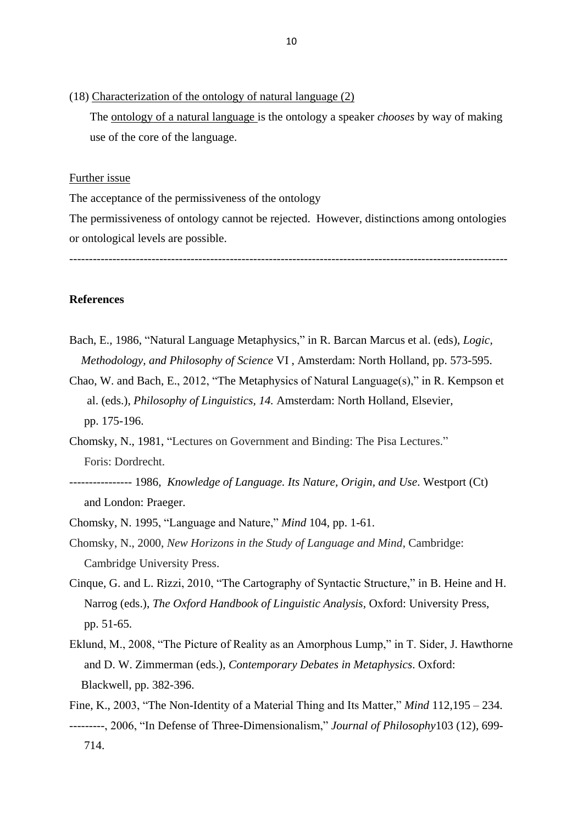(18) Characterization of the ontology of natural language (2)

 The ontology of a natural language is the ontology a speaker *chooses* by way of making use of the core of the language.

#### Further issue

The acceptance of the permissiveness of the ontology

The permissiveness of ontology cannot be rejected. However, distinctions among ontologies or ontological levels are possible.

----------------------------------------------------------------------------------------------------------------

#### **References**

- Bach, E., 1986, "Natural Language Metaphysics," in R. Barcan Marcus et al. (eds), *Logic, Methodology, and Philosophy of Science* VI , Amsterdam: North Holland, pp. 573-595.
- Chao, W. and Bach, E., 2012, "The Metaphysics of Natural Language(s)," in R. Kempson et al. (eds.), *Philosophy of Linguistics, 14.* Amsterdam: North Holland, Elsevier, pp. 175-196.
- Chomsky, N., 1981, "Lectures on Government and Binding: The Pisa Lectures." Foris: Dordrecht.
- ---------------- 1986, *Knowledge of Language. Its Nature, Origin, and Use*. Westport (Ct) and London: Praeger.
- Chomsky, N. 1995, "Language and Nature," *Mind* 104, pp. 1-61.
- Chomsky, N., 2000, *New Horizons in the Study of Language and Mind*, Cambridge: Cambridge University Press.
- Cinque, G. and L. Rizzi, 2010, "The Cartography of Syntactic Structure," in B. Heine and H. Narrog (eds.), *The Oxford Handbook of Linguistic Analysis,* Oxford: University Press, pp. 51-65.
- Eklund, M., 2008, "The Picture of Reality as an Amorphous Lump," in T. Sider, J. Hawthorne and D. W. Zimmerman (eds.), *Contemporary Debates in Metaphysics*. Oxford: Blackwell, pp. 382-396.
- Fine, K., 2003, "The Non-Identity of a Material Thing and Its Matter," *Mind* 112,195 234. ---------, 2006, "In Defense of Three-Dimensionalism," *Journal of Philosophy*103 (12), 699- 714.